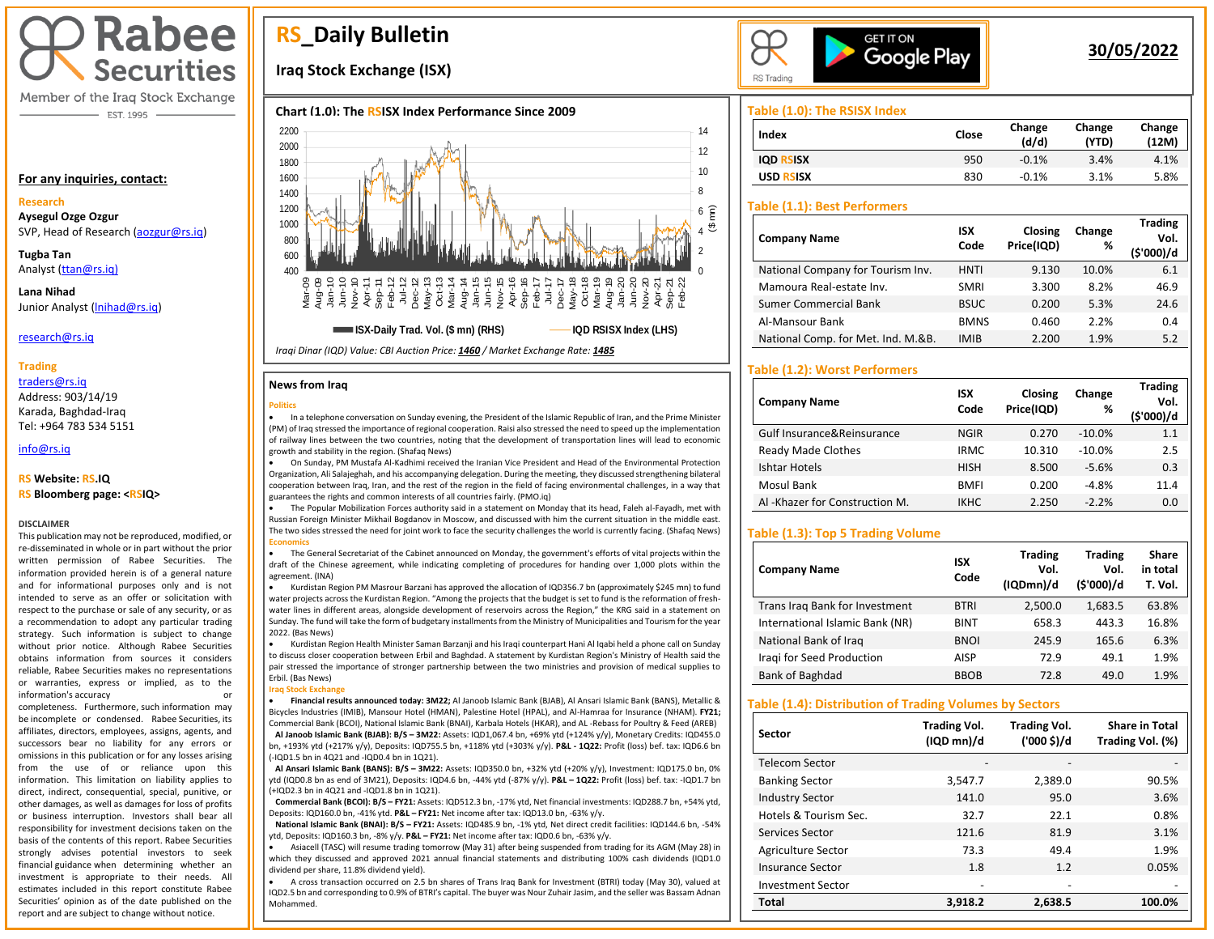# **Rabee Securities**

Member of the Iraq Stock Exchange - EST. 1995

#### **For any inquiries, contact:**

#### **Research**

**Aysegul Ozge Ozgur**  SVP, Head of Research [\(aozgur@rs.iq\)](mailto:aozgur@rs.iq)

**Tugba Tan** Analyst [\(ttan@rs.iq\)](mailto:ttan@rs.iq)

**Lana Nihad** Junior Analyst [\(lnihad@rs.iq\)](mailto:lnihad@rs.iq)

research@rs.iq

#### **Trading**

traders@rs.iq Address: 903/14/19 Karada, Baghdad-Iraq Tel: +964 783 534 5151

info@rs.iq İ

#### **RS Website: RS.IQ**

**RS Bloomberg page: <RSIQ>**

#### **DISCLAIMER**

This publication may not be reproduced, modified, or re-disseminated in whole or in part without the prior written permission of Rabee Securities. The information provided herein is of a general nature and for informational purposes only and is not intended to serve as an offer or solicitation with respect to the purchase or sale of any security, or as a recommendation to adopt any particular trading strategy. Such information is subject to change without prior notice. Although Rabee Securities obtains information from sources it considers reliable, Rabee Securities makes no representations or warranties, express or implied, as to the information's accuracy

completeness. Furthermore, such information may be incomplete or condensed. Rabee Securities, its affiliates, directors, employees, assigns, agents, and successors bear no liability for any errors or omissions in this publication or for any losses arising from the use of or reliance upon this information. This limitation on liability applies to direct, indirect, consequential, special, punitive, or other damages, as well as damages for loss of profits or business interruption. Investors shall bear all responsibility for investment decisions taken on the basis of the contents of this report. Rabee Securities strongly advises potential investors to seek financial guidance when determining whether an investment is appropriate to their needs. All estimates included in this report constitute Rabee Securities' opinion as of the date published on the report and are subject to change without notice.

## **RS\_Daily Bulletin**

## **Iraq Stock Exchange (ISX)**





#### **News from Iraq**

#### **Politics**



• On Sunday, PM Mustafa Al-Kadhimi received the Iranian Vice President and Head of the Environmental Protection Organization, Ali Salajeghah, and his accompanying delegation. During the meeting, they discussed strengthening bilateral cooperation between Iraq, Iran, and the rest of the region in the field of facing environmental challenges, in a way that guarantees the rights and common interests of all countries fairly. (PMO.iq)

• The Popular Mobilization Forces authority said in a statement on Monday that its head, Faleh al-Fayadh, met with Russian Foreign Minister Mikhail Bogdanov in Moscow, and discussed with him the current situation in the middle east. The two sides stressed the need for joint work to face the security challenges the world is currently facing. (Shafaq News) **Economics**

• The General Secretariat of the Cabinet announced on Monday, the government's efforts of vital projects within the draft of the Chinese agreement, while indicating completing of procedures for handing over 1,000 plots within the agreement. (INA)

• Kurdistan Region PM Masrour Barzani has approved the allocation of IQD356.7 bn (approximately \$245 mn) to fund water projects across the Kurdistan Region. "Among the projects that the budget is set to fund is the reformation of freshwater lines in different areas, alongside development of reservoirs across the Region," the KRG said in a statement on Sunday. The fund will take the form of budgetary installments from the Ministry of Municipalities and Tourism for the year 2022. (Bas News)

• Kurdistan Region Health Minister Saman Barzanji and his Iraqi counterpart Hani Al Iqabi held a phone call on Sunday to discuss closer cooperation between Erbil and Baghdad. A statement by Kurdistan Region's Ministry of Health said the pair stressed the importance of stronger partnership between the two ministries and provision of medical supplies to Erbil. (Bas News)

**Iraq Stock Exchange**

 $\overline{\phantom{a}}$ 

• **Financial results announced today: 3M22;** Al Janoob Islamic Bank (BJAB), Al Ansari Islamic Bank (BANS), Metallic & Bicycles Industries (IMIB), Mansour Hotel (HMAN), Palestine Hotel (HPAL), and Al-Hamraa for Insurance (NHAM). **FY21;** Commercial Bank (BCOI), National Islamic Bank (BNAI), Karbala Hotels (HKAR), and AL -Rebass for Poultry & Feed (AREB)  **Al Janoob Islamic Bank (BJAB): B/S – 3M22:** Assets: IQD1,067.4 bn, +69% ytd (+124% y/y), Monetary Credits: IQD455.0 bn, +193% ytd (+217% y/y), Deposits: IQD755.5 bn, +118% ytd (+303% y/y). **P&L - 1Q22:** Profit (loss) bef. tax: IQD6.6 bn (-IQD1.5 bn in 4Q21 and -IQD0.4 bn in 1Q21).

 **Al Ansari Islamic Bank (BANS): B/S – 3M22:** Assets: IQD350.0 bn, +32% ytd (+20% y/y), Investment: IQD175.0 bn, 0% ytd (IQD0.8 bn as end of 3M21), Deposits: IQD4.6 bn, -44% ytd (-87% y/y). **P&L – 1Q22:** Profit (loss) bef. tax: -IQD1.7 bn (+IQD2.3 bn in 4Q21 and -IQD1.8 bn in 1Q21).

 **Commercial Bank (BCOI): B/S – FY21:** Assets: IQD512.3 bn, -17% ytd, Net financial investments: IQD288.7 bn, +54% ytd, Deposits: IQD160.0 bn, -41% ytd. **P&L – FY21:** Net income after tax: IQD13.0 bn, -63% y/y.

 **National Islamic Bank (BNAI): B/S – FY21:** Assets: IQD485.9 bn, -1% ytd, Net direct credit facilities: IQD144.6 bn, -54% ytd, Deposits: IQD160.3 bn, -8% y/y. **P&L – FY21:** Net income after tax: IQD0.6 bn, -63% y/y.

• Asiacell (TASC) will resume trading tomorrow (May 31) after being suspended from trading for its AGM (May 28) in which they discussed and approved 2021 annual financial statements and distributing 100% cash dividends (IQD1.0 dividend per share, 11.8% dividend yield).

• A cross transaction occurred on 2.5 bn shares of Trans Iraq Bank for Investment (BTRI) today (May 30), valued at IQD2.5 bn and corresponding to 0.9% of BTRI's capital. The buyer was Nour Zuhair Jasim, and the seller was Bassam Adnan Mohammed.



## **30/05/2022**

**Trading** 

#### **Table (1.0): The RSISX Index**

| Index            | Close | Change<br>(d/d) | Change<br>(YTD) | Change<br>(12M) |
|------------------|-------|-----------------|-----------------|-----------------|
| <b>IOD RSISX</b> | 950   | $-0.1%$         | 3.4%            | 4.1%            |
| <b>USD RSISX</b> | 830   | $-0.1%$         | 3.1%            | 5.8%            |

#### **Table (1.1): Best Performers**

| <b>Company Name</b>                | <b>ISX</b><br>Code | Closing<br>Price(IQD) | Change<br>% | <b>Trading</b><br>Vol.<br>(\$'000)/d |
|------------------------------------|--------------------|-----------------------|-------------|--------------------------------------|
| National Company for Tourism Inv.  | <b>HNTI</b>        | 9.130                 | 10.0%       | 6.1                                  |
| Mamoura Real-estate Inv.           | <b>SMRI</b>        | 3.300                 | 8.2%        | 46.9                                 |
| <b>Sumer Commercial Bank</b>       | <b>BSUC</b>        | 0.200                 | 5.3%        | 24.6                                 |
| Al-Mansour Bank                    | <b>BMNS</b>        | 0.460                 | 2.2%        | 0.4                                  |
| National Comp. for Met. Ind. M.&B. | <b>IMIB</b>        | 2.200                 | 1.9%        | 5.2                                  |

#### **Table (1.2): Worst Performers**

| <b>Company Name</b>            | <b>ISX</b><br>Code | Closing<br>Price(IQD) | Change<br>% | Trading<br>Vol.<br>(\$'000)/d |
|--------------------------------|--------------------|-----------------------|-------------|-------------------------------|
| Gulf Insurance&Reinsurance     | <b>NGIR</b>        | 0.270                 | $-10.0%$    | 1.1                           |
| <b>Ready Made Clothes</b>      | <b>IRMC</b>        | 10.310                | $-10.0%$    | 2.5                           |
| Ishtar Hotels                  | <b>HISH</b>        | 8.500                 | $-5.6%$     | 0.3                           |
| Mosul Bank                     | <b>BMFI</b>        | 0.200                 | $-4.8%$     | 11.4                          |
| Al -Khazer for Construction M. | <b>IKHC</b>        | 2.250                 | $-2.2%$     | 0.0                           |

#### **Table (1.3): Top 5 Trading Volume**

| <b>Company Name</b>             | <b>ISX</b><br>Code | <b>Trading</b><br>Vol.<br>(IQDmn)/d | <b>Trading</b><br>Vol.<br>(\$'000)/d | Share<br>in total<br>T. Vol. |
|---------------------------------|--------------------|-------------------------------------|--------------------------------------|------------------------------|
| Trans Irag Bank for Investment  | <b>BTRI</b>        | 2,500.0                             | 1.683.5                              | 63.8%                        |
| International Islamic Bank (NR) | <b>BINT</b>        | 658.3                               | 443.3                                | 16.8%                        |
| National Bank of Iraq           | <b>BNOI</b>        | 245.9                               | 165.6                                | 6.3%                         |
| Iragi for Seed Production       | AISP               | 72.9                                | 49.1                                 | 1.9%                         |
| Bank of Baghdad                 | <b>BBOB</b>        | 72.8                                | 49.0                                 | 1.9%                         |

#### **Table (1.4): Distribution of Trading Volumes by Sectors**

| Sector                   | <b>Trading Vol.</b><br>(IQD mn)/d | <b>Trading Vol.</b><br>('000 \$)/d | <b>Share in Total</b><br>Trading Vol. (%) |
|--------------------------|-----------------------------------|------------------------------------|-------------------------------------------|
| Telecom Sector           |                                   |                                    |                                           |
| <b>Banking Sector</b>    | 3,547.7                           | 2,389.0                            | 90.5%                                     |
| <b>Industry Sector</b>   | 141.0                             | 95.0                               | 3.6%                                      |
| Hotels & Tourism Sec.    | 32.7                              | 22.1                               | 0.8%                                      |
| Services Sector          | 121.6                             | 81.9                               | 3.1%                                      |
| Agriculture Sector       | 73.3                              | 49.4                               | 1.9%                                      |
| Insurance Sector         | 1.8                               | 1.2                                | 0.05%                                     |
| <b>Investment Sector</b> | -                                 |                                    |                                           |
| <b>Total</b>             | 3.918.2                           | 2.638.5                            | 100.0%                                    |

*Iraqi Dinar (IQD) Value: CBI Auction Price: 1460 / Market Exchange Rate: 1485*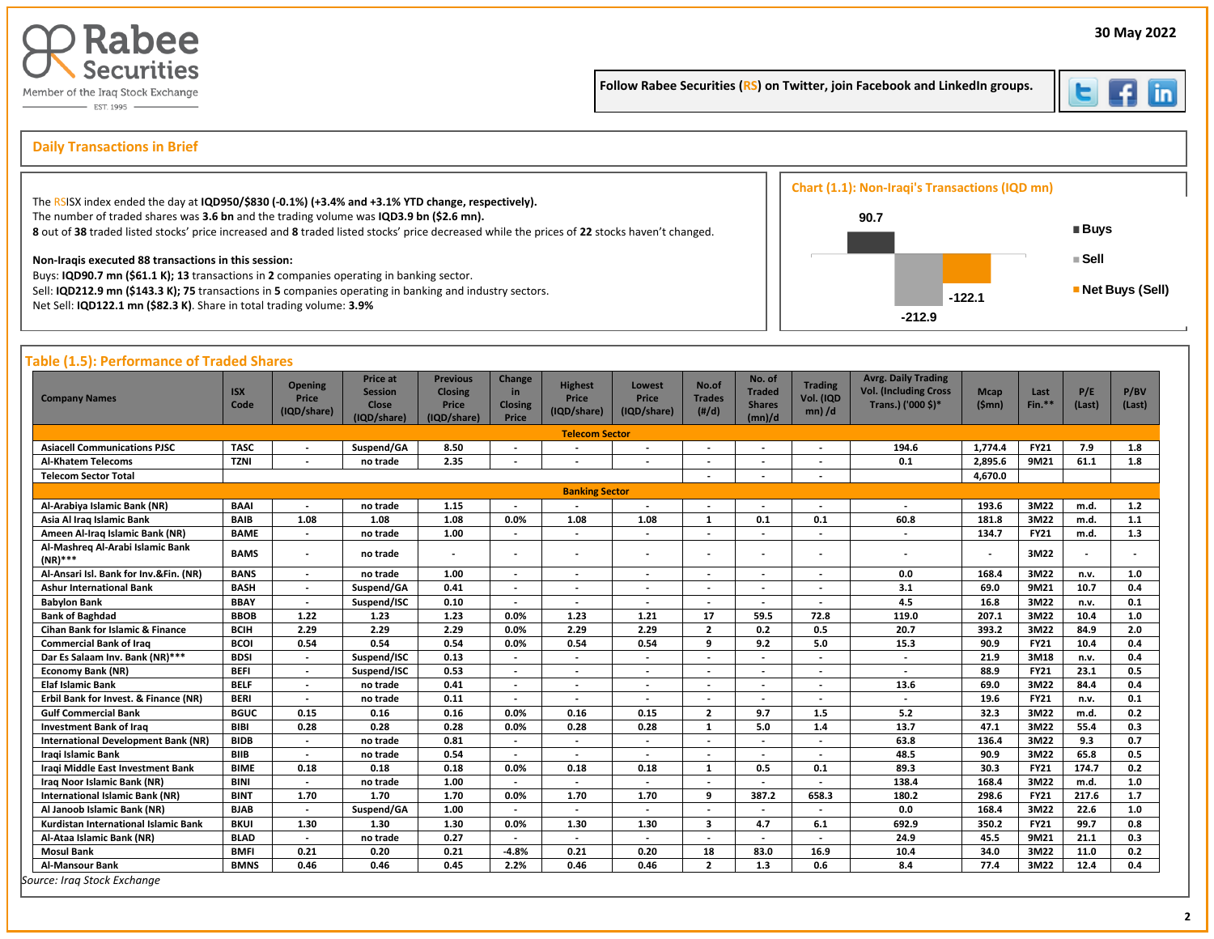

Follow Rabee Securities (RS) on Twitter, join Facebook and LinkedIn groups.



İ

## s **Daily Transactions in Brief**

| The RSISX index ended the day at IQD950/\$830 (-0.1%) (+3.4% and +3.1% YTD change, respectively).                                                                                                                                       | Chart (1.1): Non-Iraqi's Transactions (IQD mn) |                   |
|-----------------------------------------------------------------------------------------------------------------------------------------------------------------------------------------------------------------------------------------|------------------------------------------------|-------------------|
| The number of traded shares was 3.6 bn and the trading volume was IQD3.9 bn (\$2.6 mn).<br>8 out of 38 traded listed stocks' price increased and 8 traded listed stocks' price decreased while the prices of 22 stocks haven't changed. | 90.7                                           | ■ Buys            |
| Non-Iragis executed 88 transactions in this session:                                                                                                                                                                                    |                                                | ⊧Sell             |
| Buys: IQD90.7 mn (\$61.1 K); 13 transactions in 2 companies operating in banking sector.<br>Sell: IQD212.9 mn (\$143.3 K); 75 transactions in 5 companies operating in banking and industry sectors.                                    | $-122.1$                                       | ■ Net Buys (Sell) |
| Net Sell: IQD122.1 mn (\$82.3 K). Share in total trading volume: 3.9%                                                                                                                                                                   | $-212.9$                                       |                   |

| <b>Company Names</b>                           | <b>ISX</b><br>Code | <b>Opening</b><br>Price<br>(IQD/share) | <b>Price at</b><br><b>Session</b><br><b>Close</b><br>(IQD/share) | <b>Previous</b><br><b>Closing</b><br>Price<br>(IQD/share) | Change<br>in<br>Closing<br>Price | <b>Highest</b><br>Price<br>(IQD/share) | Lowest<br><b>Price</b><br>(IQD/share) | No.of<br><b>Trades</b><br>(H/d) | No. of<br><b>Traded</b><br><b>Shares</b><br>(mn)/d | <b>Trading</b><br>Vol. (IQD<br>$mn)$ /d | <b>Avrg. Daily Trading</b><br><b>Vol. (Including Cross</b><br>Trans.) ('000 \$)* | <b>Mcap</b><br>(Smn)     | Last<br>$Fin.**$ | P/E<br>(Last) | P/BV<br>(Last) |
|------------------------------------------------|--------------------|----------------------------------------|------------------------------------------------------------------|-----------------------------------------------------------|----------------------------------|----------------------------------------|---------------------------------------|---------------------------------|----------------------------------------------------|-----------------------------------------|----------------------------------------------------------------------------------|--------------------------|------------------|---------------|----------------|
|                                                |                    |                                        |                                                                  |                                                           |                                  | <b>Telecom Sector</b>                  |                                       |                                 |                                                    |                                         |                                                                                  |                          |                  |               |                |
| <b>Asiacell Communications PJSC</b>            | <b>TASC</b>        | $\overline{\phantom{a}}$               | Suspend/GA                                                       | 8.50                                                      | $\overline{\phantom{a}}$         |                                        | $\overline{\phantom{a}}$              | $\overline{\phantom{a}}$        |                                                    |                                         | 194.6                                                                            | 1,774.4                  | <b>FY21</b>      | 7.9           | 1.8            |
| <b>Al-Khatem Telecoms</b>                      | <b>TZNI</b>        |                                        | no trade                                                         | 2.35                                                      | $\overline{\phantom{a}}$         |                                        | $\blacksquare$                        | $\overline{\phantom{a}}$        | $\overline{\phantom{a}}$                           |                                         | 0.1                                                                              | 2.895.6                  | 9M21             | 61.1          | 1.8            |
| <b>Telecom Sector Total</b>                    |                    |                                        |                                                                  |                                                           |                                  |                                        |                                       | $\overline{\phantom{a}}$        |                                                    | $\overline{\phantom{a}}$                |                                                                                  | 4,670.0                  |                  |               |                |
| <b>Banking Sector</b>                          |                    |                                        |                                                                  |                                                           |                                  |                                        |                                       |                                 |                                                    |                                         |                                                                                  |                          |                  |               |                |
| Al-Arabiya Islamic Bank (NR)                   | <b>BAAI</b>        | $\overline{a}$                         | no trade                                                         | 1.15                                                      | $\overline{\phantom{a}}$         |                                        | $\overline{\phantom{a}}$              | $\overline{\phantom{a}}$        |                                                    |                                         |                                                                                  | 193.6                    | 3M22             | m.d.          | 1.2            |
| Asia Al Iraq Islamic Bank                      | <b>BAIB</b>        | 1.08                                   | 1.08                                                             | 1.08                                                      | 0.0%                             | 1.08                                   | 1.08                                  | $\mathbf{1}$                    | 0.1                                                | 0.1                                     | 60.8                                                                             | 181.8                    | 3M22             | m.d.          | 1.1            |
| Ameen Al-Iraq Islamic Bank (NR)                | <b>BAME</b>        | $\overline{\phantom{a}}$               | no trade                                                         | 1.00                                                      | $\overline{\phantom{a}}$         | $\overline{\phantom{a}}$               | $\overline{\phantom{a}}$              | $\overline{\phantom{a}}$        |                                                    | $\overline{\phantom{a}}$                |                                                                                  | 134.7                    | <b>FY21</b>      | m.d.          | 1.3            |
| Al-Mashreg Al-Arabi Islamic Bank<br>$(NR)$ *** | <b>BAMS</b>        | $\overline{\phantom{a}}$               | no trade                                                         |                                                           |                                  |                                        | $\overline{\phantom{a}}$              |                                 |                                                    |                                         |                                                                                  | $\overline{\phantom{a}}$ | 3M22             |               |                |
| Al-Ansari Isl. Bank for Inv.&Fin. (NR)         | <b>BANS</b>        | $\blacksquare$                         | no trade                                                         | 1.00                                                      | $\overline{\phantom{a}}$         | $\overline{\phantom{a}}$               | $\overline{\phantom{a}}$              | $\overline{\phantom{a}}$        | $\overline{\phantom{a}}$                           | $\overline{a}$                          | 0.0                                                                              | 168.4                    | 3M22             | n.v.          | 1.0            |
| <b>Ashur International Bank</b>                | <b>BASH</b>        | $\overline{\phantom{a}}$               | Suspend/GA                                                       | 0.41                                                      | $\overline{\phantom{a}}$         | $\overline{\phantom{a}}$               | $\overline{\phantom{a}}$              | $\overline{\phantom{a}}$        | $\overline{\phantom{a}}$                           | $\overline{\phantom{a}}$                | 3.1                                                                              | 69.0                     | 9M21             | 10.7          | 0.4            |
| <b>Babylon Bank</b>                            | <b>BBAY</b>        | $\overline{\phantom{a}}$               | Suspend/ISC                                                      | 0.10                                                      | $\overline{\phantom{a}}$         |                                        |                                       | $\overline{\phantom{a}}$        |                                                    |                                         | 4.5                                                                              | 16.8                     | 3M22             | n.v.          | 0.1            |
| <b>Bank of Baghdad</b>                         | <b>BBOB</b>        | 1.22                                   | 1.23                                                             | 1.23                                                      | 0.0%                             | 1.23                                   | 1.21                                  | 17                              | 59.5                                               | 72.8                                    | 119.0                                                                            | 207.1                    | 3M22             | 10.4          | 1.0            |
| Cihan Bank for Islamic & Finance               | <b>BCIH</b>        | 2.29                                   | 2.29                                                             | 2.29                                                      | 0.0%                             | 2.29                                   | 2.29                                  | $\overline{2}$                  | 0.2                                                | 0.5                                     | 20.7                                                                             | 393.2                    | 3M22             | 84.9          | 2.0            |
| <b>Commercial Bank of Iraq</b>                 | <b>BCOI</b>        | 0.54                                   | 0.54                                                             | 0.54                                                      | 0.0%                             | 0.54                                   | 0.54                                  | -9                              | 9.2                                                | 5.0                                     | 15.3                                                                             | 90.9                     | <b>FY21</b>      | 10.4          | 0.4            |
| Dar Es Salaam Inv. Bank (NR)***                | <b>BDSI</b>        | $\blacksquare$                         | Suspend/ISC                                                      | 0.13                                                      |                                  |                                        | $\blacksquare$                        | $\overline{\phantom{a}}$        |                                                    |                                         | $\overline{a}$                                                                   | 21.9                     | 3M18             | n.v.          | 0.4            |
| <b>Economy Bank (NR)</b>                       | <b>BEFI</b>        | $\overline{\phantom{a}}$               | Suspend/ISC                                                      | 0.53                                                      | $\overline{\phantom{a}}$         | $\overline{\phantom{a}}$               | $\blacksquare$                        | $\overline{\phantom{a}}$        |                                                    |                                         | $\overline{a}$                                                                   | 88.9                     | <b>FY21</b>      | 23.1          | 0.5            |
| <b>Elaf Islamic Bank</b>                       | <b>BELF</b>        | $\overline{\phantom{a}}$               | no trade                                                         | 0.41                                                      | $\overline{\phantom{a}}$         | $\overline{\phantom{a}}$               | $\overline{\phantom{a}}$              | $\overline{\phantom{a}}$        |                                                    |                                         | 13.6                                                                             | 69.0                     | 3M22             | 84.4          | 0.4            |
| Erbil Bank for Invest. & Finance (NR)          | <b>BERI</b>        | $\blacksquare$                         | no trade                                                         | 0.11                                                      | $\overline{\phantom{a}}$         | $\overline{\phantom{a}}$               | $\overline{\phantom{a}}$              | $\overline{\phantom{a}}$        | $\overline{\phantom{a}}$                           | $\overline{\phantom{a}}$                | $\overline{\phantom{a}}$                                                         | 19.6                     | <b>FY21</b>      | n.v.          | 0.1            |
| <b>Gulf Commercial Bank</b>                    | <b>BGUC</b>        | 0.15                                   | 0.16                                                             | 0.16                                                      | 0.0%                             | 0.16                                   | 0.15                                  | $\overline{2}$                  | 9.7                                                | 1.5                                     | 5.2                                                                              | 32.3                     | 3M22             | m.d.          | 0.2            |
| <b>Investment Bank of Irag</b>                 | <b>BIBI</b>        | 0.28                                   | 0.28                                                             | 0.28                                                      | 0.0%                             | 0.28                                   | 0.28                                  | $\mathbf{1}$                    | 5.0                                                | 1.4                                     | 13.7                                                                             | 47.1                     | 3M22             | 55.4          | 0.3            |
| <b>International Development Bank (NR)</b>     | <b>BIDB</b>        | $\overline{\phantom{a}}$               | no trade                                                         | 0.81                                                      | $\overline{\phantom{a}}$         |                                        | $\overline{\phantom{a}}$              | $\overline{\phantom{a}}$        |                                                    |                                         | 63.8                                                                             | 136.4                    | 3M22             | 9.3           | 0.7            |
| Iragi Islamic Bank                             | <b>BIIB</b>        | $\overline{\phantom{a}}$               | no trade                                                         | 0.54                                                      | $\overline{\phantom{a}}$         |                                        | $\overline{\phantom{a}}$              |                                 |                                                    |                                         | 48.5                                                                             | 90.9                     | 3M22             | 65.8          | 0.5            |
| Iragi Middle East Investment Bank              | <b>BIME</b>        | 0.18                                   | 0.18                                                             | 0.18                                                      | 0.0%                             | 0.18                                   | 0.18                                  | $\mathbf{1}$                    | 0.5                                                | 0.1                                     | 89.3                                                                             | 30.3                     | <b>FY21</b>      | 174.7         | 0.2            |
| Iraq Noor Islamic Bank (NR)                    | <b>BINI</b>        | $\overline{\phantom{a}}$               | no trade                                                         | 1.00                                                      | $\overline{\phantom{a}}$         |                                        | $\overline{a}$                        | $\overline{\phantom{a}}$        |                                                    |                                         | 138.4                                                                            | 168.4                    | 3M22             | m.d.          | 1.0            |
| <b>International Islamic Bank (NR)</b>         | <b>BINT</b>        | 1.70                                   | 1.70                                                             | 1.70                                                      | 0.0%                             | 1.70                                   | 1.70                                  | 9                               | 387.2                                              | 658.3                                   | 180.2                                                                            | 298.6                    | <b>FY21</b>      | 217.6         | 1.7            |
| Al Janoob Islamic Bank (NR)                    | <b>BJAB</b>        | $\overline{\phantom{a}}$               | Suspend/GA                                                       | 1.00                                                      | $\overline{\phantom{a}}$         | $\overline{\phantom{a}}$               | $\overline{\phantom{a}}$              | $\overline{\phantom{a}}$        |                                                    |                                         | 0.0                                                                              | 168.4                    | 3M22             | 22.6          | 1.0            |
| Kurdistan International Islamic Bank           | <b>BKUI</b>        | 1.30                                   | 1.30                                                             | 1.30                                                      | 0.0%                             | 1.30                                   | 1.30                                  | 3                               | 4.7                                                | 6.1                                     | 692.9                                                                            | 350.2                    | <b>FY21</b>      | 99.7          | 0.8            |
| Al-Ataa Islamic Bank (NR)                      | <b>BLAD</b>        | $\overline{\phantom{a}}$               | no trade                                                         | 0.27                                                      | $\overline{\phantom{a}}$         | $\overline{\phantom{a}}$               | $\blacksquare$                        | $\overline{\phantom{a}}$        |                                                    |                                         | 24.9                                                                             | 45.5                     | 9M21             | 21.1          | 0.3            |
| <b>Mosul Bank</b>                              | <b>BMFI</b>        | 0.21                                   | 0.20                                                             | 0.21                                                      | $-4.8%$                          | 0.21                                   | 0.20                                  | 18                              | 83.0                                               | 16.9                                    | 10.4                                                                             | 34.0                     | 3M22             | 11.0          | 0.2            |
| Al-Mansour Bank                                | <b>BMNS</b>        | 0.46                                   | 0.46                                                             | 0.45                                                      | 2.2%                             | 0.46                                   | 0.46                                  | $\overline{2}$                  | 1.3                                                | 0.6                                     | 8.4                                                                              | 77.4                     | 3M22             | 12.4          | 0.4            |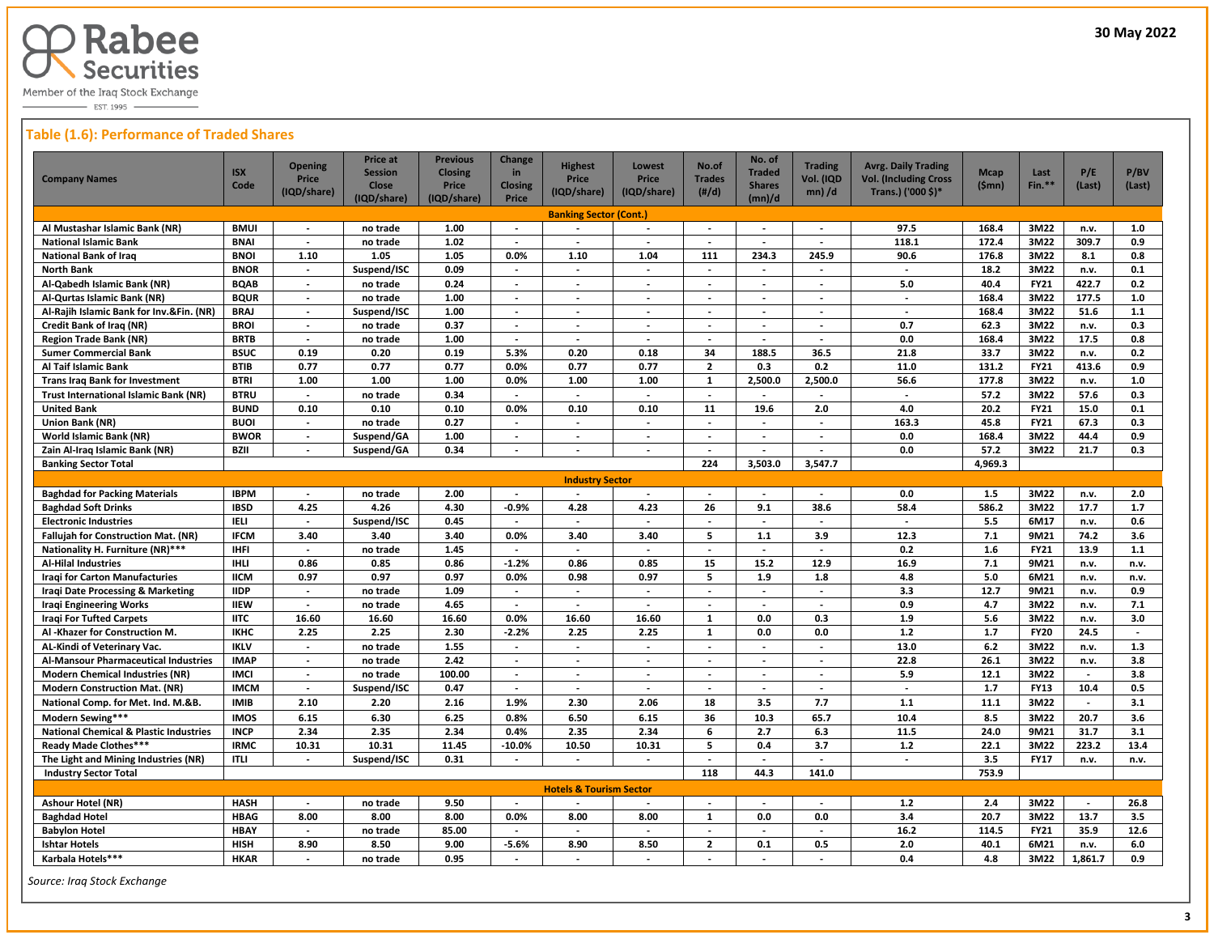

 $-$  EST. 1995  $-$ 

#### **Table (1.6): Performance of Traded Shares**

| <b>Company Names</b>                                                        | <b>ISX</b><br>Code         | <b>Opening</b><br>Price<br>(IQD/share) | Price at<br><b>Session</b><br><b>Close</b><br>(IQD/share) | <b>Previous</b><br><b>Closing</b><br>Price<br>(IQD/share) | Change<br>in<br><b>Closing</b><br>Price | <b>Highest</b><br>Price<br>(IQD/share) | <b>Lowest</b><br>Price<br>(IQD/share)                | No.of<br><b>Trades</b><br>$(\#/d)$                   | No. of<br><b>Traded</b><br><b>Shares</b><br>(mn)/d | <b>Trading</b><br>Vol. (IQD<br>$mn)$ /d | <b>Avrg. Daily Trading</b><br><b>Vol. (Including Cross</b><br>Trans.) ('000 \$)* | <b>Mcap</b><br>(Smn) | Last<br>$Fin.**$           | P/E<br>(Last)            | P/BV<br>(Last) |
|-----------------------------------------------------------------------------|----------------------------|----------------------------------------|-----------------------------------------------------------|-----------------------------------------------------------|-----------------------------------------|----------------------------------------|------------------------------------------------------|------------------------------------------------------|----------------------------------------------------|-----------------------------------------|----------------------------------------------------------------------------------|----------------------|----------------------------|--------------------------|----------------|
|                                                                             |                            |                                        |                                                           |                                                           |                                         | <b>Banking Sector (Cont.)</b>          |                                                      |                                                      |                                                    |                                         |                                                                                  |                      |                            |                          |                |
| Al Mustashar Islamic Bank (NR)                                              | <b>BMUI</b>                | $\overline{\phantom{a}}$               | no trade                                                  | 1.00                                                      | $\overline{\phantom{a}}$                |                                        |                                                      | $\overline{\phantom{a}}$                             | $\overline{\phantom{a}}$                           |                                         | 97.5                                                                             | 168.4                | 3M22                       | n.v.                     | 1.0            |
| <b>National Islamic Bank</b>                                                | <b>BNAI</b>                | $\blacksquare$                         | no trade                                                  | 1.02                                                      | $\sim$                                  | $\blacksquare$                         | $\overline{\phantom{a}}$                             | $\overline{\phantom{a}}$                             | $\overline{\phantom{a}}$                           | $\overline{\phantom{a}}$                | 118.1                                                                            | 172.4                | 3M22                       | 309.7                    | 0.9            |
| <b>National Bank of Iraq</b>                                                | <b>BNOI</b>                | 1.10                                   | 1.05                                                      | 1.05                                                      | 0.0%                                    | 1.10                                   | 1.04                                                 | 111                                                  | 234.3                                              | 245.9                                   | 90.6                                                                             | 176.8                | 3M22                       | 8.1                      | 0.8            |
| North Bank                                                                  | <b>BNOR</b>                | $\overline{\phantom{a}}$               | Suspend/ISC                                               | 0.09                                                      | $\blacksquare$                          | $\blacksquare$                         | $\overline{\phantom{a}}$                             | $\overline{\phantom{a}}$                             | $\overline{\phantom{a}}$                           | $\overline{\phantom{a}}$                | $\overline{\phantom{a}}$                                                         | 18.2                 | 3M22                       | n.v.                     | 0.1            |
| Al-Qabedh Islamic Bank (NR)                                                 | <b>BQAB</b>                | $\overline{\phantom{a}}$               | no trade                                                  | 0.24                                                      | $\overline{\phantom{a}}$                | $\overline{\phantom{a}}$               | $\overline{\phantom{a}}$                             | $\overline{\phantom{a}}$                             | $\overline{\phantom{a}}$                           | $\overline{\phantom{a}}$                | 5.0                                                                              | 40.4                 | <b>FY21</b>                | 422.7                    | 0.2            |
| Al-Qurtas Islamic Bank (NR)                                                 | <b>BQUR</b>                | $\overline{\phantom{a}}$               | no trade                                                  | 1.00                                                      | $\overline{\phantom{a}}$                | $\overline{\phantom{a}}$               | $\blacksquare$                                       | $\blacksquare$                                       | $\overline{\phantom{a}}$                           | $\overline{\phantom{a}}$                | $\sim$                                                                           | 168.4                | 3M22                       | 177.5                    | 1.0            |
| Al-Rajih Islamic Bank for Inv.&Fin. (NR)                                    | <b>BRAJ</b>                | $\overline{\phantom{a}}$               | Suspend/ISC                                               | 1.00                                                      | $\mathcal{L}$                           | $\overline{\phantom{a}}$               | $\overline{\phantom{a}}$                             | $\overline{\phantom{a}}$                             | $\overline{\phantom{a}}$                           | $\overline{\phantom{a}}$                | $\overline{\phantom{a}}$                                                         | 168.4                | 3M22                       | 51.6                     | $1.1$          |
| <b>Credit Bank of Iraq (NR)</b>                                             | <b>BROI</b>                | $\overline{\phantom{a}}$               | no trade                                                  | 0.37                                                      | $\blacksquare$                          | $\overline{\phantom{a}}$               | $\overline{\phantom{a}}$                             | $\overline{\phantom{a}}$                             | $\sim$                                             | $\overline{\phantom{a}}$                | 0.7                                                                              | 62.3                 | 3M22                       | n.v.                     | 0.3            |
| <b>Region Trade Bank (NR)</b>                                               | <b>BRTB</b>                |                                        | no trade                                                  | 1.00                                                      | ÷,                                      |                                        |                                                      |                                                      |                                                    |                                         | 0.0                                                                              | 168.4                | 3M22                       | 17.5                     | 0.8            |
| Sumer Commercial Bank                                                       | <b>BSUC</b>                | 0.19                                   | 0.20                                                      | 0.19                                                      | 5.3%                                    | 0.20                                   | 0.18                                                 | 34                                                   | 188.5                                              | 36.5                                    | 21.8                                                                             | 33.7                 | 3M22                       | n.v.                     | 0.2            |
| Al Taif Islamic Bank                                                        | <b>BTIB</b>                | 0.77                                   | 0.77                                                      | 0.77                                                      | 0.0%                                    | 0.77                                   | 0.77                                                 | $\overline{2}$                                       | 0.3                                                | 0.2                                     | 11.0                                                                             | 131.2                | <b>FY21</b>                | 413.6                    | 0.9            |
| <b>Trans Irag Bank for Investment</b>                                       | <b>BTRI</b>                | 1.00                                   | 1.00                                                      | 1.00                                                      | 0.0%                                    | 1.00                                   | 1.00                                                 | $\mathbf{1}$                                         | 2.500.0                                            | 2,500.0                                 | 56.6                                                                             | 177.8                | 3M22                       | n.v.                     | 1.0            |
| Trust International Islamic Bank (NR)                                       | <b>BTRU</b>                | $\overline{\phantom{a}}$               | no trade                                                  | 0.34                                                      | $\overline{\phantom{a}}$<br>0.0%        | $\overline{\phantom{a}}$<br>0.10       | $\overline{\phantom{a}}$                             | $\overline{\phantom{a}}$<br>11                       | $\overline{\phantom{a}}$                           | $\overline{\phantom{a}}$                | $\sim$<br>4.0                                                                    | 57.2<br>20.2         | 3M22                       | 57.6                     | 0.3            |
| <b>United Bank</b>                                                          | <b>BUND</b><br><b>BUOI</b> | 0.10<br>$\overline{a}$                 | 0.10<br>no trade                                          | 0.10<br>0.27                                              | $\overline{\phantom{a}}$                | $\overline{\phantom{a}}$               | 0.10                                                 |                                                      | 19.6<br>$\overline{\phantom{a}}$                   | 2.0<br>$\overline{\phantom{a}}$         | 163.3                                                                            | 45.8                 | <b>FY21</b><br><b>FY21</b> | 15.0<br>67.3             | 0.1            |
| Union Bank (NR)<br>World Islamic Bank (NR)                                  | <b>BWOR</b>                | $\blacksquare$                         | Suspend/GA                                                | 1.00                                                      | $\overline{\phantom{a}}$                | $\overline{\phantom{a}}$               | $\overline{\phantom{a}}$<br>$\overline{\phantom{a}}$ | $\overline{\phantom{a}}$<br>$\overline{\phantom{a}}$ | $\overline{\phantom{a}}$                           | $\overline{\phantom{a}}$                | 0.0                                                                              | 168.4                | 3M22                       | 44.4                     | 0.3<br>0.9     |
| Zain Al-Iraq Islamic Bank (NR)                                              | <b>BZII</b>                |                                        | Suspend/GA                                                | 0.34                                                      |                                         |                                        |                                                      |                                                      |                                                    |                                         | 0.0                                                                              | 57.2                 | 3M22                       | 21.7                     | 0.3            |
|                                                                             |                            |                                        |                                                           |                                                           |                                         |                                        |                                                      | 224                                                  | 3,503.0                                            |                                         |                                                                                  |                      |                            |                          |                |
| 3,547.7<br>4,969.3<br><b>Banking Sector Total</b><br><b>Industry Sector</b> |                            |                                        |                                                           |                                                           |                                         |                                        |                                                      |                                                      |                                                    |                                         |                                                                                  |                      |                            |                          |                |
| <b>Baghdad for Packing Materials</b>                                        | <b>IBPM</b>                | $\overline{\phantom{a}}$               | no trade                                                  | 2.00                                                      |                                         | $\overline{\phantom{a}}$               | $\overline{\phantom{a}}$                             | $\overline{\phantom{a}}$                             | $\overline{\phantom{a}}$                           | $\overline{\phantom{a}}$                | 0.0                                                                              | 1.5                  | 3M22                       | n.v.                     | 2.0            |
| <b>Baghdad Soft Drinks</b>                                                  | <b>IBSD</b>                | 4.25                                   | 4.26                                                      | 4.30                                                      | $-0.9%$                                 | 4.28                                   | 4.23                                                 | 26                                                   | 9.1                                                | 38.6                                    | 58.4                                                                             | 586.2                | 3M22                       | 17.7                     | 1.7            |
| <b>Electronic Industries</b>                                                | <b>IELI</b>                | $\blacksquare$                         | Suspend/ISC                                               | 0.45                                                      |                                         | $\overline{\phantom{a}}$               | $\overline{\phantom{a}}$                             |                                                      |                                                    |                                         | $\sim$                                                                           | 5.5                  | 6M17                       | n.v.                     | 0.6            |
| Fallujah for Construction Mat. (NR)                                         | <b>IFCM</b>                | 3.40                                   | 3.40                                                      | 3.40                                                      | 0.0%                                    | 3.40                                   | 3.40                                                 | 5                                                    | $1.1\,$                                            | 3.9                                     | 12.3                                                                             | 7.1                  | 9M21                       | 74.2                     | 3.6            |
| Nationality H. Furniture (NR)***                                            | <b>IHFI</b>                | $\overline{\phantom{a}}$               | no trade                                                  | 1.45                                                      | $\overline{\phantom{a}}$                | $\overline{\phantom{a}}$               | $\overline{a}$                                       | $\overline{\phantom{a}}$                             | $\overline{\phantom{a}}$                           | $\overline{\phantom{a}}$                | 0.2                                                                              | 1.6                  | <b>FY21</b>                | 13.9                     | $1.1$          |
| Al-Hilal Industries                                                         | <b>IHLI</b>                | 0.86                                   | 0.85                                                      | 0.86                                                      | $-1.2%$                                 | 0.86                                   | 0.85                                                 | 15                                                   | 15.2                                               | 12.9                                    | 16.9                                                                             | 7.1                  | 9M21                       | n.v.                     | n.v.           |
| Iragi for Carton Manufacturies                                              | <b>IICM</b>                | 0.97                                   | 0.97                                                      | 0.97                                                      | 0.0%                                    | 0.98                                   | 0.97                                                 | 5                                                    | 1.9                                                | 1.8                                     | 4.8                                                                              | 5.0                  | 6M21                       | n.v.                     | n.v.           |
| Iraqi Date Processing & Marketing                                           | <b>IIDP</b>                | $\overline{\phantom{a}}$               | no trade                                                  | 1.09                                                      | $\overline{\phantom{a}}$                | $\overline{\phantom{a}}$               | $\overline{\phantom{a}}$                             | $\blacksquare$                                       | $\overline{\phantom{a}}$                           | $\overline{\phantom{a}}$                | 3.3                                                                              | 12.7                 | 9M21                       | n.v.                     | 0.9            |
| Iraqi Engineering Works                                                     | <b>IIEW</b>                | $\overline{\phantom{a}}$               | no trade                                                  | 4.65                                                      |                                         | $\overline{\phantom{a}}$               | $\overline{a}$                                       | $\blacksquare$                                       | $\overline{\phantom{0}}$                           | $\overline{\phantom{a}}$                | 0.9                                                                              | 4.7                  | 3M22                       | n.v.                     | 7.1            |
| Iragi For Tufted Carpets                                                    | <b>IITC</b>                | 16.60                                  | 16.60                                                     | 16.60                                                     | 0.0%                                    | 16.60                                  | 16.60                                                | $\mathbf{1}$                                         | 0.0                                                | 0.3                                     | 1.9                                                                              | 5.6                  | 3M22                       | n.v.                     | 3.0            |
| Al -Khazer for Construction M.                                              | <b>IKHC</b>                | 2.25                                   | 2.25                                                      | 2.30                                                      | $-2.2%$                                 | 2.25                                   | 2.25                                                 | $\mathbf{1}$                                         | 0.0                                                | 0.0                                     | 1.2                                                                              | 1.7                  | <b>FY20</b>                | 24.5                     |                |
| AL-Kindi of Veterinary Vac.                                                 | <b>IKLV</b>                | $\overline{\phantom{a}}$               | no trade                                                  | 1.55                                                      | $\sim$                                  | $\overline{a}$                         | $\overline{\phantom{a}}$                             | $\overline{\phantom{a}}$                             | $\overline{\phantom{a}}$                           | $\overline{\phantom{a}}$                | 13.0                                                                             | 6.2                  | 3M22                       | n.v.                     | 1.3            |
| Al-Mansour Pharmaceutical Industries                                        | <b>IMAP</b>                | $\overline{a}$                         | no trade                                                  | 2.42                                                      | $\sim$                                  | $\overline{a}$                         | $\overline{\phantom{a}}$                             | $\overline{a}$                                       | $\sim$                                             | $\overline{\phantom{a}}$                | 22.8                                                                             | 26.1                 | 3M22                       | n.v.                     | 3.8            |
| <b>Modern Chemical Industries (NR)</b>                                      | <b>IMCI</b>                | $\overline{a}$                         | no trade                                                  | 100.00                                                    | $\sim$                                  | $\overline{a}$                         | $\overline{\phantom{a}}$                             | $\sim$                                               | $\sim$                                             | $\overline{a}$                          | 5.9                                                                              | 12.1                 | 3M22                       | $\overline{\phantom{a}}$ | 3.8            |
| <b>Modern Construction Mat. (NR)</b>                                        | <b>IMCM</b>                | $\blacksquare$                         | Suspend/ISC                                               | 0.47                                                      | $\overline{\phantom{a}}$                | $\overline{\phantom{a}}$               | $\overline{\phantom{a}}$                             | $\overline{\phantom{a}}$                             | $\blacksquare$                                     |                                         | $\mathcal{L}$                                                                    | 1.7                  | <b>FY13</b>                | 10.4                     | 0.5            |
| National Comp. for Met. Ind. M.&B.                                          | <b>IMIB</b>                | 2.10                                   | 2.20                                                      | 2.16                                                      | 1.9%                                    | 2.30                                   | 2.06                                                 | 18                                                   | 3.5                                                | 7.7                                     | 1.1                                                                              | 11.1                 | 3M22                       | $\sim$                   | 3.1            |
| Modern Sewing***                                                            | <b>IMOS</b>                | 6.15                                   | 6.30                                                      | 6.25                                                      | 0.8%                                    | 6.50                                   | 6.15                                                 | 36                                                   | 10.3                                               | 65.7                                    | 10.4                                                                             | 8.5                  | 3M22                       | 20.7                     | 3.6            |
| <b>National Chemical &amp; Plastic Industries</b>                           | <b>INCP</b>                | 2.34                                   | 2.35                                                      | 2.34                                                      | 0.4%                                    | 2.35                                   | 2.34                                                 | 6                                                    | 2.7                                                | 6.3                                     | 11.5                                                                             | 24.0                 | 9M21                       | 31.7                     | 3.1            |
| Ready Made Clothes***                                                       | <b>IRMC</b>                | 10.31                                  | 10.31                                                     | 11.45                                                     | $-10.0%$                                | 10.50                                  | 10.31                                                | 5                                                    | 0.4                                                | 3.7                                     | $1.2$                                                                            | 22.1                 | 3M22                       | 223.2                    | 13.4           |
| The Light and Mining Industries (NR)                                        | <b>ITLI</b>                | $\overline{a}$                         | Suspend/ISC                                               | 0.31                                                      | $\overline{\phantom{a}}$                |                                        | $\overline{\phantom{a}}$                             |                                                      | $\overline{\phantom{a}}$                           | $\overline{\phantom{a}}$                | $\overline{\phantom{a}}$                                                         | 3.5                  | <b>FY17</b>                | n.v.                     | n.v.           |
| <b>Industry Sector Total</b>                                                |                            |                                        |                                                           |                                                           |                                         |                                        |                                                      | 118                                                  | 44.3                                               | 141.0                                   |                                                                                  | 753.9                |                            |                          |                |
|                                                                             |                            |                                        |                                                           |                                                           |                                         | <b>Hotels &amp; Tourism Sector</b>     |                                                      |                                                      |                                                    |                                         |                                                                                  |                      |                            |                          |                |
| Ashour Hotel (NR)                                                           | <b>HASH</b>                | $\overline{\phantom{a}}$               | no trade                                                  | 9.50                                                      | $\sim$                                  | $\overline{a}$                         | $\overline{\phantom{a}}$                             | $\sim$                                               | $\overline{\phantom{a}}$                           | $\overline{\phantom{a}}$                | 1.2                                                                              | 2.4                  | 3M22                       | $\sim$                   | 26.8           |
| <b>Baghdad Hotel</b>                                                        | <b>HBAG</b>                | 8.00                                   | 8.00                                                      | 8.00                                                      | 0.0%                                    | 8.00                                   | 8.00                                                 | $\mathbf{1}$                                         | 0.0                                                | 0.0                                     | 3.4                                                                              | 20.7                 | 3M22                       | 13.7                     | 3.5            |
| <b>Babylon Hotel</b>                                                        | <b>HBAY</b>                | $\blacksquare$                         | no trade                                                  | 85.00                                                     | $\sim$                                  | $\overline{\phantom{a}}$               | $\overline{\phantom{a}}$                             | $\overline{\phantom{a}}$                             | $\overline{\phantom{a}}$                           | $\overline{a}$                          | 16.2                                                                             | 114.5                | <b>FY21</b>                | 35.9                     | 12.6           |
| <b>Ishtar Hotels</b>                                                        |                            |                                        |                                                           |                                                           |                                         |                                        |                                                      |                                                      |                                                    |                                         |                                                                                  |                      |                            |                          |                |
|                                                                             | <b>HISH</b>                | 8.90                                   | 8.50                                                      | 9.00                                                      | $-5.6%$                                 | 8.90                                   | 8.50                                                 | $\overline{2}$                                       | 0.1                                                | 0.5                                     | 2.0                                                                              | 40.1                 | 6M21                       | n.v.                     | 6.0            |

 *Source: Iraq Stock Exchange*

 $\overline{a}$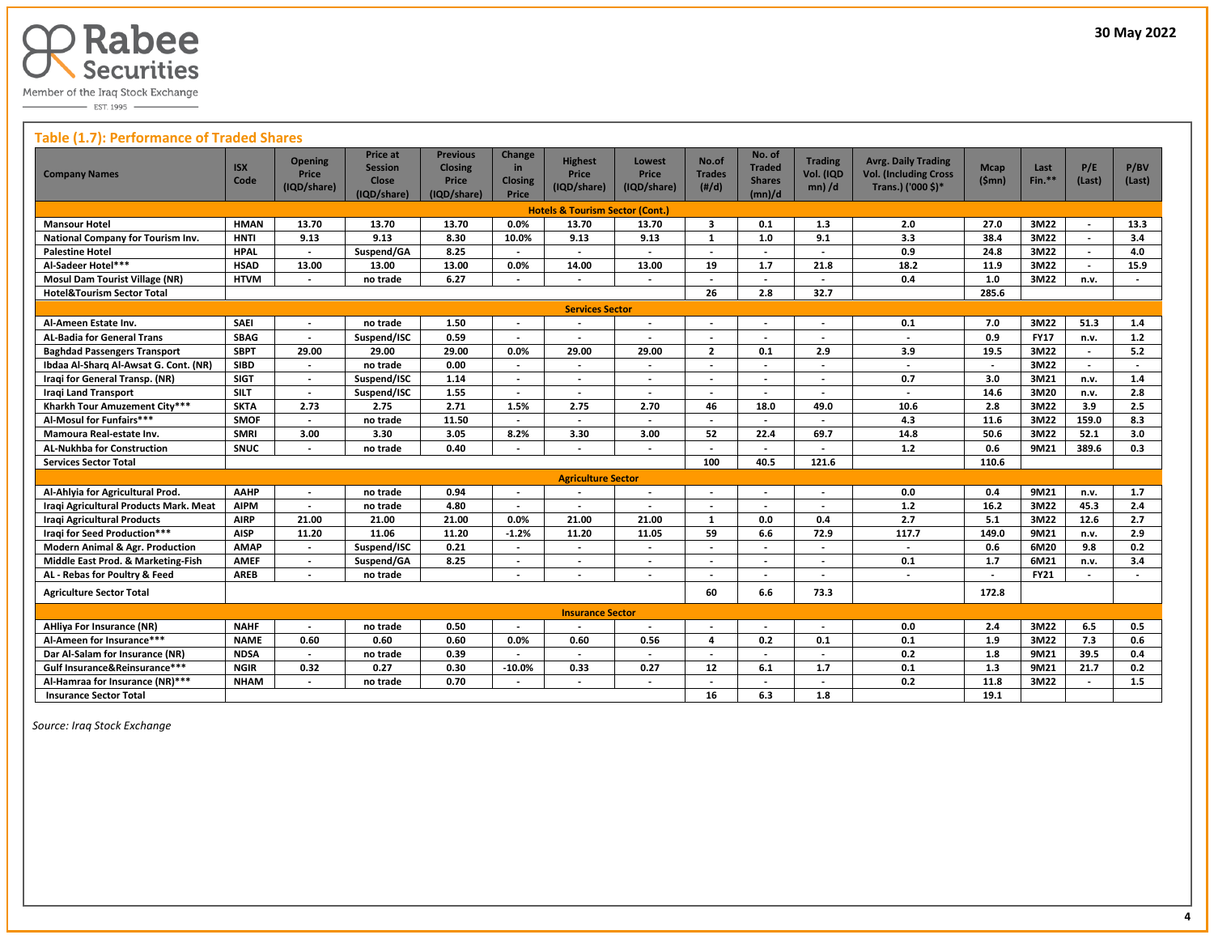

 $\overline{\phantom{0}}$  EST. 1995

#### **Table (1.7): Performance of Traded Shares**

| <b>Company Names</b>                       | <b>ISX</b><br>Code | <b>Opening</b><br><b>Price</b><br>(IQD/share) | Price at<br><b>Session</b><br>Close<br>(IQD/share) | <b>Previous</b><br><b>Closing</b><br>Price<br>(IQD/share) | Change<br>in<br><b>Closing</b><br>Price | <b>Highest</b><br>Price<br>(IQD/share)     | <b>Lowest</b><br><b>Price</b><br>(IQD/share) | No.of<br><b>Trades</b><br>$(\#/d)$ | No. of<br><b>Traded</b><br><b>Shares</b><br>(mn)/d | <b>Trading</b><br>Vol. (IQD<br>$mn)$ /d | <b>Avrg. Daily Trading</b><br><b>Vol. (Including Cross</b><br>Trans.) ('000 \$)* | <b>Mcap</b><br>(Smn)     | Last<br>$Fin.**$ | P/E<br>(Last)            | P/BV<br>(Last)           |
|--------------------------------------------|--------------------|-----------------------------------------------|----------------------------------------------------|-----------------------------------------------------------|-----------------------------------------|--------------------------------------------|----------------------------------------------|------------------------------------|----------------------------------------------------|-----------------------------------------|----------------------------------------------------------------------------------|--------------------------|------------------|--------------------------|--------------------------|
|                                            |                    |                                               |                                                    |                                                           |                                         | <b>Hotels &amp; Tourism Sector (Cont.)</b> |                                              |                                    |                                                    |                                         |                                                                                  |                          |                  |                          |                          |
| <b>Mansour Hotel</b>                       | <b>HMAN</b>        | 13.70                                         | 13.70                                              | 13.70                                                     | $0.0\%$                                 | 13.70                                      | 13.70                                        | $\overline{\mathbf{3}}$            | 0.1                                                | 1.3                                     | 2.0                                                                              | 27.0                     | 3M22             | $\overline{a}$           | 13.3                     |
| National Company for Tourism Inv.          | <b>HNTI</b>        | 9.13                                          | 9.13                                               | 8.30                                                      | 10.0%                                   | 9.13                                       | 9.13                                         | $\mathbf{1}$                       | 1.0                                                | 9.1                                     | 3.3                                                                              | 38.4                     | 3M22             | $\blacksquare$           | 3.4                      |
| <b>Palestine Hotel</b>                     | <b>HPAL</b>        | $\blacksquare$                                | Suspend/GA                                         | 8.25                                                      | $\overline{\phantom{a}}$                | $\overline{\phantom{a}}$                   | $\overline{\phantom{a}}$                     | $\overline{\phantom{a}}$           | $\overline{\phantom{a}}$                           | $\overline{\phantom{a}}$                | 0.9                                                                              | 24.8                     | 3M22             | $\overline{\phantom{a}}$ | 4.0                      |
| Al-Sadeer Hotel***                         | <b>HSAD</b>        | 13.00                                         | 13.00                                              | 13.00                                                     | 0.0%                                    | 14.00                                      | 13.00                                        | 19                                 | 1.7                                                | 21.8                                    | 18.2                                                                             | 11.9                     | 3M22             |                          | 15.9                     |
| <b>Mosul Dam Tourist Village (NR)</b>      | <b>HTVM</b>        |                                               | no trade                                           | 6.27                                                      |                                         |                                            |                                              |                                    | $\overline{\phantom{a}}$                           |                                         | 0.4                                                                              | 1.0                      | 3M22             | n.v.                     |                          |
| <b>Hotel&amp;Tourism Sector Total</b>      |                    |                                               |                                                    |                                                           |                                         |                                            |                                              | 26                                 | 2.8                                                | 32.7                                    |                                                                                  | 285.6                    |                  |                          |                          |
| <b>Services Sector</b>                     |                    |                                               |                                                    |                                                           |                                         |                                            |                                              |                                    |                                                    |                                         |                                                                                  |                          |                  |                          |                          |
| Al-Ameen Estate Inv.                       | <b>SAEI</b>        | $\overline{\phantom{a}}$                      | no trade                                           | 1.50                                                      | $\overline{\phantom{a}}$                | $\overline{\phantom{a}}$                   | $\overline{\phantom{a}}$                     | $\overline{\phantom{a}}$           | $\overline{\phantom{a}}$                           | $\overline{\phantom{a}}$                | 0.1                                                                              | 7.0                      | 3M22             | 51.3                     | 1.4                      |
| <b>AL-Badia for General Trans</b>          | <b>SBAG</b>        | $\overline{a}$                                | Suspend/ISC                                        | 0.59                                                      | $\overline{\phantom{a}}$                |                                            |                                              |                                    |                                                    |                                         | $\overline{a}$                                                                   | 0.9                      | <b>FY17</b>      | n.v.                     | $1.2$                    |
| <b>Baghdad Passengers Transport</b>        | <b>SBPT</b>        | 29.00                                         | 29.00                                              | 29.00                                                     | 0.0%                                    | 29.00                                      | 29.00                                        | $\overline{2}$                     | 0.1                                                | 2.9                                     | 3.9                                                                              | 19.5                     | 3M22             |                          | 5.2                      |
| Ibdaa Al-Sharq Al-Awsat G. Cont. (NR)      | <b>SIBD</b>        | $\overline{a}$                                | no trade                                           | 0.00                                                      | $\overline{\phantom{a}}$                | $\overline{\phantom{a}}$                   | $\overline{a}$                               | $\overline{\phantom{a}}$           | $\overline{\phantom{a}}$                           | $\overline{\phantom{a}}$                | $\overline{a}$                                                                   | $\overline{a}$           | 3M22             | $\overline{\phantom{a}}$ | $\overline{\phantom{a}}$ |
| Iragi for General Transp. (NR)             | <b>SIGT</b>        | $\overline{\phantom{a}}$                      | Suspend/ISC                                        | 1.14                                                      | $\blacksquare$                          | $\overline{\phantom{a}}$                   | $\overline{\phantom{a}}$                     | $\overline{\phantom{a}}$           | $\overline{\phantom{a}}$                           | $\overline{\phantom{a}}$                | 0.7                                                                              | 3.0                      | 3M21             | n.v.                     | 1.4                      |
| <b>Iragi Land Transport</b>                | <b>SILT</b>        | $\blacksquare$                                | Suspend/ISC                                        | 1.55                                                      |                                         |                                            | $\overline{a}$                               | $\overline{\phantom{a}}$           |                                                    |                                         | $\overline{\phantom{a}}$                                                         | 14.6                     | 3M20             | n.v.                     | 2.8                      |
| Kharkh Tour Amuzement City***              | <b>SKTA</b>        | 2.73                                          | 2.75                                               | 2.71                                                      | 1.5%                                    | 2.75                                       | 2.70                                         | 46                                 | 18.0                                               | 49.0                                    | 10.6                                                                             | 2.8                      | 3M22             | 3.9                      | 2.5                      |
| Al-Mosul for Funfairs***                   | <b>SMOF</b>        |                                               | no trade                                           | 11.50                                                     |                                         |                                            |                                              | $\overline{\phantom{a}}$           |                                                    | $\overline{\phantom{a}}$                | 4.3                                                                              | 11.6                     | 3M22             | 159.0                    | 8.3                      |
| Mamoura Real-estate Inv.                   | <b>SMRI</b>        | 3.00                                          | 3.30                                               | 3.05                                                      | 8.2%                                    | 3.30                                       | 3.00                                         | 52                                 | 22.4                                               | 69.7                                    | 14.8                                                                             | 50.6                     | 3M22             | 52.1                     | 3.0                      |
| <b>AL-Nukhba for Construction</b>          | SNUC               | $\overline{a}$                                | no trade                                           | 0.40                                                      |                                         |                                            | $\overline{a}$                               |                                    | $\overline{\phantom{a}}$                           | $\overline{a}$                          | 1.2                                                                              | 0.6                      | 9M21             | 389.6                    | 0.3                      |
| <b>Services Sector Total</b>               |                    |                                               |                                                    |                                                           |                                         |                                            |                                              | 100                                | 40.5                                               | 121.6                                   |                                                                                  | 110.6                    |                  |                          |                          |
|                                            |                    |                                               |                                                    |                                                           |                                         | <b>Agriculture Sector</b>                  |                                              |                                    |                                                    |                                         |                                                                                  |                          |                  |                          |                          |
| Al-Ahlyia for Agricultural Prod.           | AAHP               |                                               | no trade                                           | 0.94                                                      |                                         |                                            | $\overline{\phantom{a}}$                     | $\overline{\phantom{a}}$           |                                                    |                                         | 0.0                                                                              | 0.4                      | 9M21             | n.v.                     | 1.7                      |
| Iraqi Agricultural Products Mark. Meat     | <b>AIPM</b>        | $\overline{\phantom{a}}$                      | no trade                                           | 4.80                                                      | $\overline{\phantom{a}}$                | $\overline{\phantom{a}}$                   | $\overline{\phantom{a}}$                     | $\overline{\phantom{a}}$           |                                                    |                                         | 1.2                                                                              | 16.2                     | 3M22             | 45.3                     | 2.4                      |
| <b>Iragi Agricultural Products</b>         | <b>AIRP</b>        | 21.00                                         | 21.00                                              | 21.00                                                     | 0.0%                                    | 21.00                                      | 21.00                                        | $\mathbf{1}$                       | 0.0                                                | 0.4                                     | $\overline{2.7}$                                                                 | 5.1                      | 3M22             | 12.6                     | 2.7                      |
| Iraqi for Seed Production***               | <b>AISP</b>        | 11.20                                         | 11.06                                              | 11.20                                                     | $-1.2%$                                 | 11.20                                      | 11.05                                        | 59                                 | 6.6                                                | 72.9                                    | 117.7                                                                            | 149.0                    | 9M21             | n.v.                     | 2.9                      |
| <b>Modern Animal &amp; Agr. Production</b> | <b>AMAP</b>        |                                               | Suspend/ISC                                        | 0.21                                                      |                                         |                                            |                                              |                                    |                                                    | $\overline{\phantom{a}}$                |                                                                                  | 0.6                      | 6M20             | 9.8                      | 0.2                      |
| Middle East Prod. & Marketing-Fish         | <b>AMEF</b>        |                                               | Suspend/GA                                         | 8.25                                                      |                                         |                                            |                                              |                                    |                                                    |                                         | 0.1                                                                              | 1.7                      | 6M21             | n.v.                     | 3.4                      |
| AL - Rebas for Poultry & Feed              | <b>AREB</b>        | $\overline{\phantom{a}}$                      | no trade                                           |                                                           | $\overline{\phantom{a}}$                |                                            | $\overline{\phantom{a}}$                     |                                    |                                                    |                                         | $\blacksquare$                                                                   | $\overline{\phantom{a}}$ | <b>FY21</b>      |                          |                          |
| <b>Agriculture Sector Total</b>            |                    |                                               |                                                    |                                                           |                                         |                                            |                                              | 60                                 | 6.6                                                | 73.3                                    |                                                                                  | 172.8                    |                  |                          |                          |
|                                            |                    |                                               |                                                    |                                                           |                                         | <b>Insurance Sector</b>                    |                                              |                                    |                                                    |                                         |                                                                                  |                          |                  |                          |                          |
| <b>AHliya For Insurance (NR)</b>           | <b>NAHF</b>        | $\overline{a}$                                | no trade                                           | 0.50                                                      | $\overline{\phantom{a}}$                | $\overline{\phantom{a}}$                   | $\overline{\phantom{a}}$                     | $\overline{\phantom{a}}$           |                                                    |                                         | 0.0                                                                              | 2.4                      | 3M22             | 6.5                      | 0.5                      |
| Al-Ameen for Insurance***                  | <b>NAME</b>        | 0.60                                          | 0.60                                               | 0.60                                                      | 0.0%                                    | 0.60                                       | 0.56                                         | 4                                  | 0.2                                                | 0.1                                     | 0.1                                                                              | 1.9                      | 3M22             | 7.3                      | 0.6                      |
| Dar Al-Salam for Insurance (NR)            | <b>NDSA</b>        | $\overline{a}$                                | no trade                                           | 0.39                                                      |                                         |                                            | $\overline{\phantom{a}}$                     | $\overline{\phantom{a}}$           | $\overline{\phantom{a}}$                           | $\overline{\phantom{a}}$                | 0.2                                                                              | 1.8                      | 9M21             | 39.5                     | 0.4                      |
| Gulf Insurance&Reinsurance***              | <b>NGIR</b>        | 0.32                                          | 0.27                                               | 0.30                                                      | $-10.0%$                                | 0.33                                       | 0.27                                         | 12                                 | 6.1                                                | 1.7                                     | 0.1                                                                              | 1.3                      | 9M21             | 21.7                     | 0.2                      |
| Al-Hamraa for Insurance (NR)***            | <b>NHAM</b>        |                                               | no trade                                           | 0.70                                                      |                                         |                                            |                                              |                                    |                                                    |                                         | 0.2                                                                              | 11.8                     | 3M22             |                          | 1.5                      |
| <b>Insurance Sector Total</b>              |                    |                                               |                                                    |                                                           |                                         |                                            |                                              | 16                                 | 6.3                                                | 1.8                                     |                                                                                  | 19.1                     |                  |                          |                          |

 *Source: Iraq Stock Exchange*

 $\overline{a}$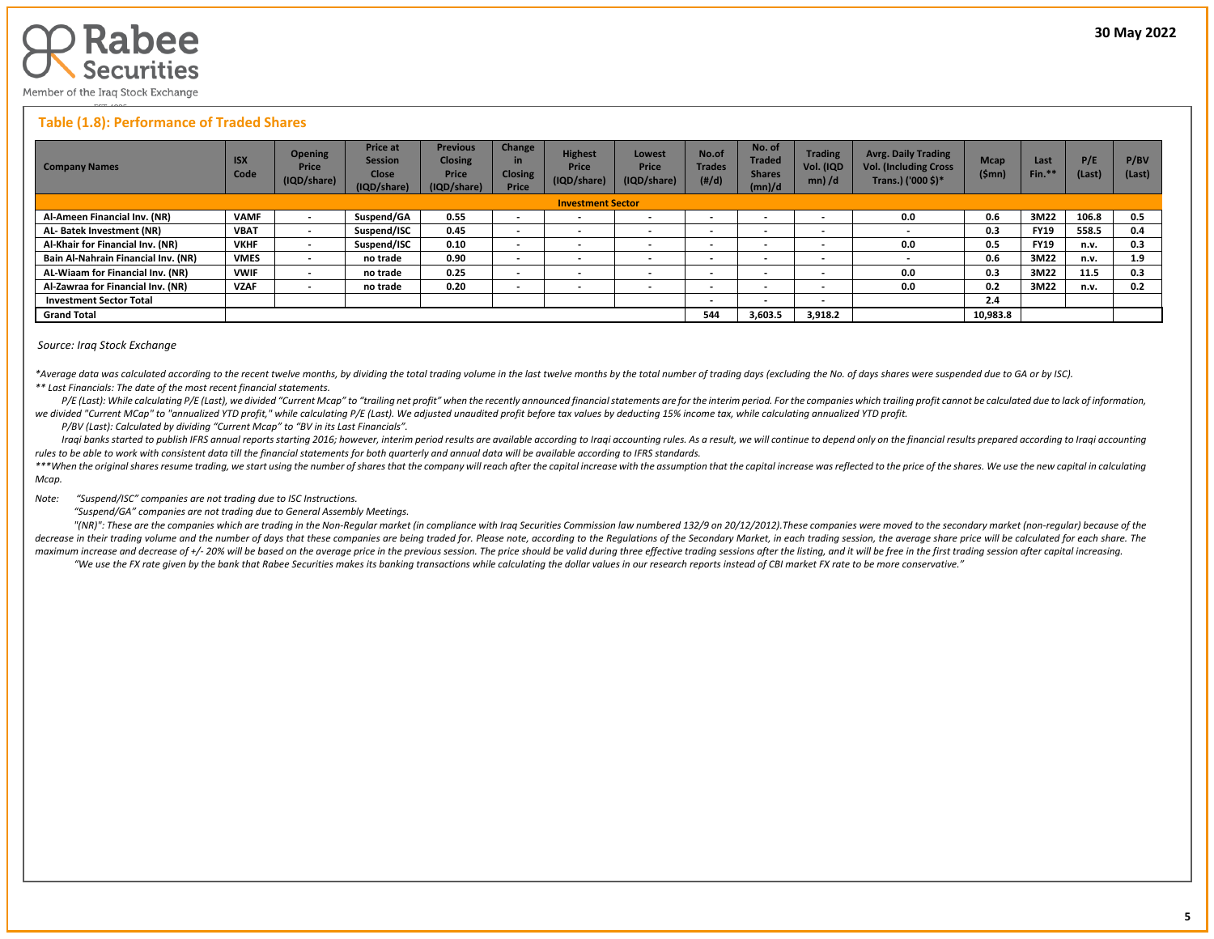

#### **Table (1.8): Performance of Traded Shares**

| <b>Company Names</b>                | <b>ISX</b><br>Code | <b>Opening</b><br>Price<br>(IQD/share) | <b>Price at</b><br><b>Session</b><br><b>Close</b><br>(IQD/share) | <b>Previous</b><br><b>Closing</b><br><b>Price</b><br>(IQD/share) | Change<br>in<br><b>Closing</b><br><b>Price</b> | <b>Highest</b><br>Price<br>(IQD/share) | Lowest<br><b>Price</b><br>(IQD/share) | No.of<br><b>Trades</b><br>(H/d) | No. of<br><b>Traded</b><br><b>Shares</b><br>(mn)/d | <b>Trading</b><br>Vol. (IQD<br>$mn)$ /d | <b>Avrg. Daily Trading</b><br><b>Vol. (Including Cross</b><br>Trans.) ('000 \$)* | <b>Mcap</b><br>(\$mn) | Last<br>Fin.* | P/E<br>(Last) | P/BV<br>(Last) |
|-------------------------------------|--------------------|----------------------------------------|------------------------------------------------------------------|------------------------------------------------------------------|------------------------------------------------|----------------------------------------|---------------------------------------|---------------------------------|----------------------------------------------------|-----------------------------------------|----------------------------------------------------------------------------------|-----------------------|---------------|---------------|----------------|
| <b>Investment Sector</b>            |                    |                                        |                                                                  |                                                                  |                                                |                                        |                                       |                                 |                                                    |                                         |                                                                                  |                       |               |               |                |
| Al-Ameen Financial Inv. (NR)        | <b>VAMF</b>        |                                        | Suspend/GA                                                       | 0.55                                                             | $\overline{\phantom{0}}$                       | $\overline{\phantom{a}}$               |                                       |                                 | $\overline{\phantom{a}}$                           | $\overline{\phantom{0}}$                | 0.0                                                                              | 0.6                   | 3M22          | 106.8         | 0.5            |
| AL-Batek Investment (NR)            | <b>VBAT</b>        | $\,$                                   | Suspend/ISC                                                      | 0.45                                                             | $\sim$                                         | $\overline{\phantom{a}}$               | $\overline{\phantom{a}}$              | $\overline{\phantom{a}}$        | $\overline{\phantom{a}}$                           | $\overline{\phantom{a}}$                | $\overline{\phantom{a}}$                                                         | 0.3                   | <b>FY19</b>   | 558.5         | 0.4            |
| Al-Khair for Financial Inv. (NR)    | <b>VKHF</b>        | $\overline{\phantom{a}}$               | Suspend/ISC                                                      | 0.10                                                             | $\overline{\phantom{a}}$                       | $\overline{\phantom{a}}$               |                                       |                                 | $\overline{\phantom{a}}$                           | $\overline{\phantom{0}}$                | 0.0                                                                              | 0.5                   | <b>FY19</b>   | n.v.          | 0.3            |
| Bain Al-Nahrain Financial Inv. (NR) | <b>VMES</b>        | $\,$                                   | no trade                                                         | 0.90                                                             | $\overline{\phantom{a}}$                       | $\overline{\phantom{a}}$               |                                       |                                 | $\overline{\phantom{a}}$                           | $\overline{\phantom{0}}$                |                                                                                  | 0.6                   | 3M22          | n.v.          | 1.9            |
| AL-Wiaam for Financial Inv. (NR)    | <b>VWIF</b>        | $\overline{\phantom{0}}$               | no trade                                                         | 0.25                                                             | $\overline{\phantom{a}}$                       |                                        |                                       |                                 | $\blacksquare$                                     | $\overline{\phantom{0}}$                | 0.0                                                                              | 0.3                   | 3M22          | 11.5          | 0.3            |
| Al-Zawraa for Financial Inv. (NR)   | <b>VZAF</b>        | $\,$                                   | no trade                                                         | 0.20                                                             | $\overline{\phantom{a}}$                       | $\overline{\phantom{a}}$               |                                       |                                 | $\overline{\phantom{a}}$                           | $\overline{\phantom{0}}$                | 0.0                                                                              | 0.2                   | 3M22          | n.v.          | 0.2            |
| <b>Investment Sector Total</b>      |                    |                                        |                                                                  |                                                                  |                                                |                                        |                                       | $\overline{\phantom{a}}$        | $\overline{\phantom{0}}$                           | $\overline{\phantom{0}}$                |                                                                                  | 2.4                   |               |               |                |
| <b>Grand Total</b>                  |                    |                                        |                                                                  |                                                                  |                                                |                                        |                                       |                                 | 3,603.5                                            | 3,918.2                                 |                                                                                  | 10,983.8              |               |               |                |

#### *Source: Iraq Stock Exchange*

\*Average data was calculated according to the recent twelve months, by dividing the total trading volume in the last twelve months by the total number of trading days (excluding the No. of days shares were suspended due to *\*\* Last Financials: The date of the most recent financial statements.* 

P/E (Last): While calculating P/E (Last), we divided "Current Mcap" to "trailing net profit" when the recently announced financial statements are for the interim period. For the companies which trailing profit cannot be ca *we divided "Current MCap" to "annualized YTD profit," while calculating P/E (Last). We adjusted unaudited profit before tax values by deducting 15% income tax, while calculating annualized YTD profit.*

 *P/BV (Last): Calculated by dividing "Current Mcap" to "BV in its Last Financials".*

Iraqi banks started to publish IFRS annual reports starting 2016; however, interim period results are available according to Iraqi accounting rules. As a result, we will continue to depend only on the financial results pre *rules to be able to work with consistent data till the financial statements for both quarterly and annual data will be available according to IFRS standards.* 

\*\*\*When the original shares resume trading, we start using the number of shares that the company will reach after the capital increase with the assumption that the capital increase was reflected to the price of the shares. *Mcap.*

*Note: "Suspend/ISC" companies are not trading due to ISC Instructions.*

 *"Suspend/GA" companies are not trading due to General Assembly Meetings.*

"(NR)": These are the companies which are trading in the Non-Regular market (in compliance with Iraq Securities Commission law numbered 132/9 on 20/12/2012). These companies were moved to the secondary market (non-regular) decrease in their trading volume and the number of days that these companies are being traded for. Please note, according to the Regulations of the Secondary Market, in each trading session, the average share price will be maximum increase and decrease of +/- 20% will be based on the average price in the previous session. The price should be valid during three effective trading sessions after the listing, and it will be free in the first tra "We use the FX rate given by the bank that Rabee Securities makes its banking transactions while calculating the dollar values in our research reports instead of CBI market FX rate to be more conservative."